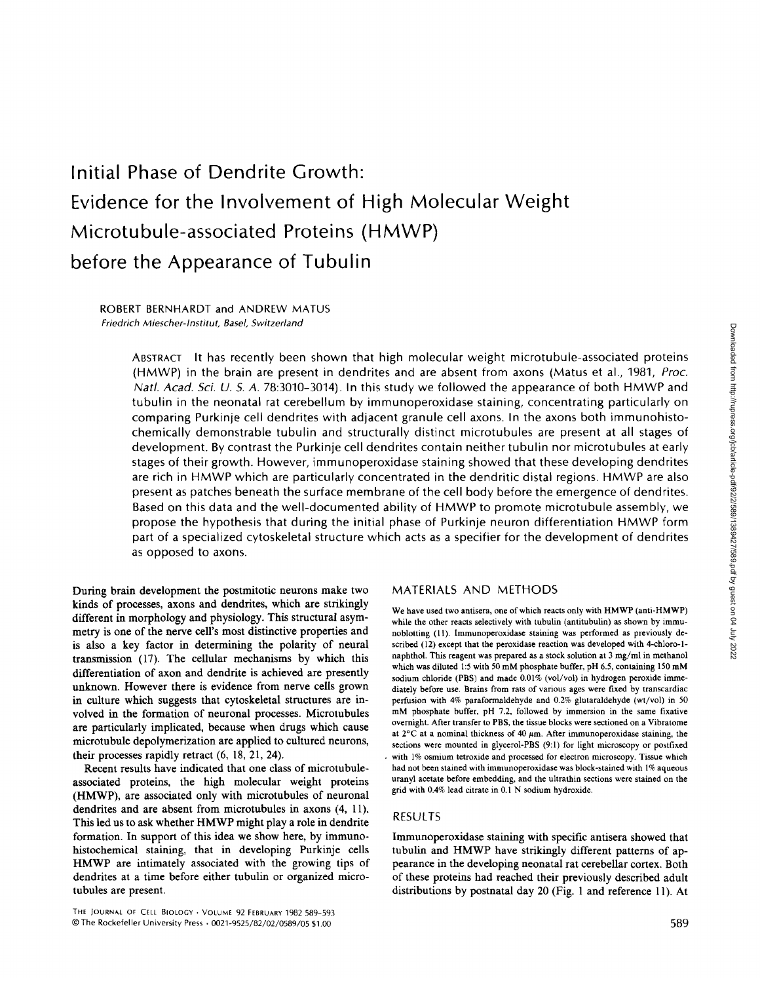# Initial Phase of Dendrite Growth: Evidence for the Involvement of High Molecular Weight Microtubule-associated Proteins (HMWP) before the Appearance of Tubulin

**ROBERT BERNHARDT and ANDREW MATUS**<br>Friedrich Miescher Institut, Basel, Switzerland Friedrich Miescher-Institut, Basel, Switzerland

> ABSTRACT It has recently been shown that high molecular weight microtubule-associated proteins (HMWP) in the brain are present in dendrites and are absent from axons (Matus et al., 1981, *Proc.*) (HMWP) in the brain are present in dendrites and are absent from axons (Matus et al ., 1981, Proc. Natl. Acad. Sci. U. S. A. 78:3010–3014). In this study we followed the appearance of both HMWP and<br>whylin in the neonatal rat cerebellum by immunoneroxidase staining, concentrating narticularly on tubulin in the neonatal rat cerebellum by immunoperoxidase staining, concentrating particularly on<br>comparing Purkinje cell dendrites with adjacent granule cell axons. In the axons both immunohistochemically demonstrable tubulin and structurally distinct microtubules are present at all stages of development. By contrast the Purkinje cell dendrites contain neither tubulin nor microtubules at early stages of their growth. However, immunoperoxidase staining showed that these developing dendrites are rich in HMWP which are particularly concentrated in the dendritic distal regions. HMWP are also present as patches beneath the surface membrane of the cell body before the emergence of dendrites. present as patches beneath the surface membrane of the cell body before the emergence of dendrites. Based on this data and the well-documented ability of HMWP to promote microtubule assembly, we<br>propose the bypothesis that during the initial phase of Purkinie neuron differentiation HMWP form propose the hypothesis that during the initial phase of Purkinje neuron differentiation HMWP form part of a specialized cytoskeletal structure which acts as a specifier for the development of dendrites as opposed to axons.

During brain development the postmitotic neurons make two different in morphology and physiology. This structural asymmetry is one of the nerve cell's most distinctive properties and is also a key factor in determining the polarity of neural transmission (17). The cellular mechanisms by which this differentiation of axon and dendrite is achieved are presently unknown. However there is evidence from nerve cells grown in culture which suggests that cytoskeletal structures are involved in the formation of neuronal processes. Microtubules are particularly implicated, because when drugs which cause microtubule depolymerization are applied to cultured neurons, their processes rapidly retract  $(6, 18, 21, 24)$ .

Recent results have indicated that one class of microtubuleassociated proteins, the high molecular weight proteins (HMWP), are associated only with microtubules of neuronal dendrites and are absent from microtubules in axons  $(4, 11)$ . dendrites and are absent from interestables in axons (4, 11).<br>This led us to ask whether HMWP might play a role in dendrite<br>from minor of this idea was bould have by immuno formation. In support of this idea we show here, by immuno-<br>histochemical staining, that in developing Purkinje cells HMWP are intimately associated with the growing tips of<br>dendrites at a time before either tubulin or organized microdendrites at a time before either tubulin or organized microtubules are present.

MATERIALS AND METHODS<br>We have used two antisera, one of which reacts only with HMWP (anti-HMWP) while the other reacts selectively with tubulin (antitubulin) as shown by immunoblotting (11). Immunoperoxidase staining was performed as previously described (12) except that the peroxidase reaction was developed with 4-chloro-1naphthol. This reagent was prepared as a stock solution at 3 mg/ml in methanol which was diluted 1:5 with 50 mM phosphate buffer, pH 6.5, containing 150 mM sodium chloride (PBS) and made 0.01% (vol/vol) in hydrogen peroxide immediately before use. Brains from rats of various ages were fixed by transcardiac perfusion with  $4\%$  paraformaldehyde and  $0.2\%$  glutaraldehyde (wt/vol) in 50 mM phosphate buffer, pH 7.2, followed by immersion in the same fixative overnight. After transfer to PBS, the tissue blocks were sectioned on a Vibratome at  $2^{\circ}$ C at a nominal thickness of 40  $\mu$ m. After immunoperoxidase staining, the sections were mounted in glycerol-PBS (9:1) for light microscopy or postfixed with 1% osmium tetroxide and processed for electron microscopy. Tissue which had not been stained with immunoperoxidase was block-stained with 1% aqueous uranyl acetate before embedding, and the ultrathin sections were stained on the plantyl acetate before embedding, and the university were not statisted on the grid with 0.4% lead citrate in 0.1 N sodium hydroxide.

## RESULTS

Immunoperoxidase stanning with specific antisera showed that<br>tubulin and HMWP have strikingly different patterns of ap-<br>pearance in the developing peopatal rat cerebellar cortex. Both pearance in the developing neonatal rat cerebellar cortex. Both<br>of these proteins had reached their previously described adult of these proteins had reached their previously described adult distributions by postnatal day 20 (Fig. <sup>1</sup> and reference 11) . At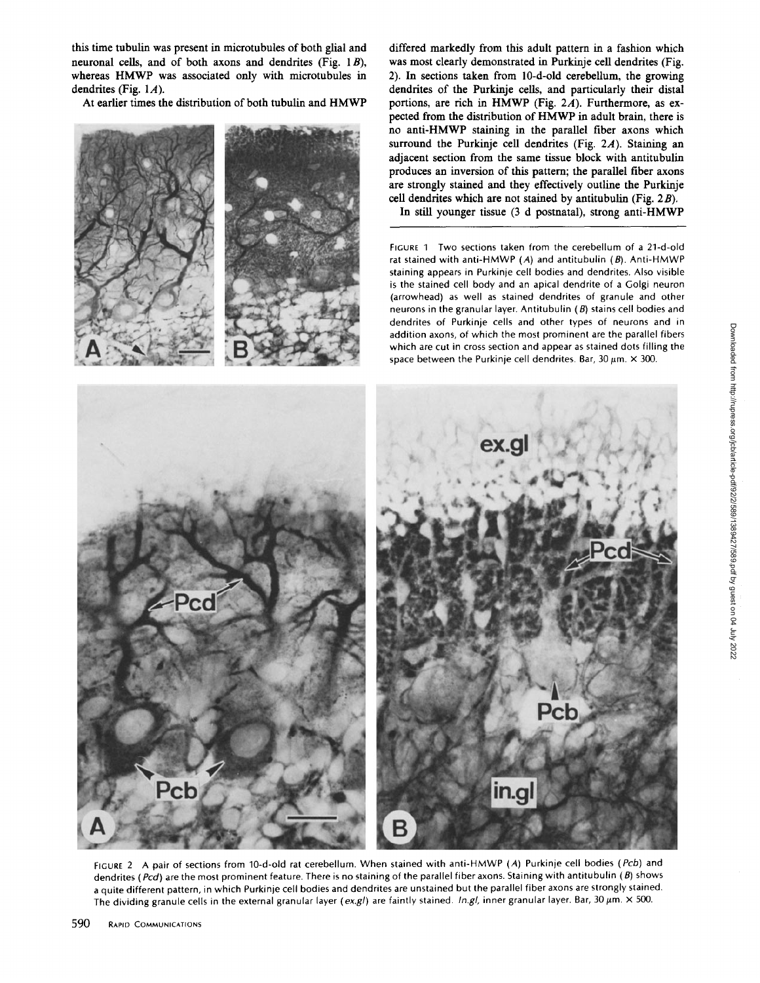this time tubulin was present in microtubules of both glial and neuronal cells, and of both axons and dendrites (Fig.  $1B$ ), meuronal cells, and of both axons and dendrites  $(Fig, 1B)$ , whereas HMWP was associated only with microtubules in dendrites  $(Fig, 1A)$ 

At earlier times the distribution of both tubulin and  $HMWP$ 



differed markedly from this adult pattern in a fashion which was most clearly demonstrated in Purkinje cell dendrites (Fig. 2). In sections taken from 10-d-old cerebellum, the growing dendrites of the Purkinje cells, and particularly their distal portions, are rich in HMWP (Fig.  $2A$ ). Furthermore, as expected from the distribution of HMWP in adult brain, there is no anti-HMWP staining in the parallel fiber axons which surround the Purkinje cell dendrites (Fig.  $2A$ ). Staining an adjacent section from the same tissue block with antitubulin produces an inversion of this pattern; the parallel fiber axons are strongly stained and they effectively outline the Purkinje cell dendrites which are not stained by antitubulin (Fig.  $2B$ ).

cell dendrites which are not standed by antitubulin (Fig. 2B). In still younger tissue (3 d postnatal), strong anti-HMWP

FIGURE 1 Two sections taken from the cerebellum of a 21-d-old rat stained with anti-HMWP (A) and antitubulin (B). Anti-HMWP staining appears in Purkinje cell bodies and dendrites. Also visible is the stained cell body and an apical dendrite of a Golgi neuron (arrowhead) as well as stained dendrites of granule and other neurons in the granular layer. Antitubulin ( $B$ ) stains cell bodies and dendrites of Purkinje cells and other types of neurons and in addition axons, of which the most prominent are the parallel fibers which are cut in cross section and appear as stained dots filling the which are cut in cross section and appear as stance dots filling the space between the Purkinje cell dendrites. Bar, 30  $\mu$ m.  $\times$  300



FIGURE 2 A pair of sections from 10-d-old rat cerebellum. When stained with anti-HMWP (A) Purkinje cell bodies (Pcb) and<br>dendrites (Pcd) are the most prominent feature. There is no staining of the parallel fiber axons. Sta a quite different pattern, in which Purkinje cell bodies and dendrites are unstained but the parallel fiber axons are strongly stained. a quite different pattern, in which runking cent boutes and denoties are unstanced but the parallel fiber Bar. 30 km,  $\times$  500. The dividing granule cells in the external granular layer (*ex.gl)* are faintly stained. *In.gl,* inner granular layer, bar, 30  $\mu$ m. x 300.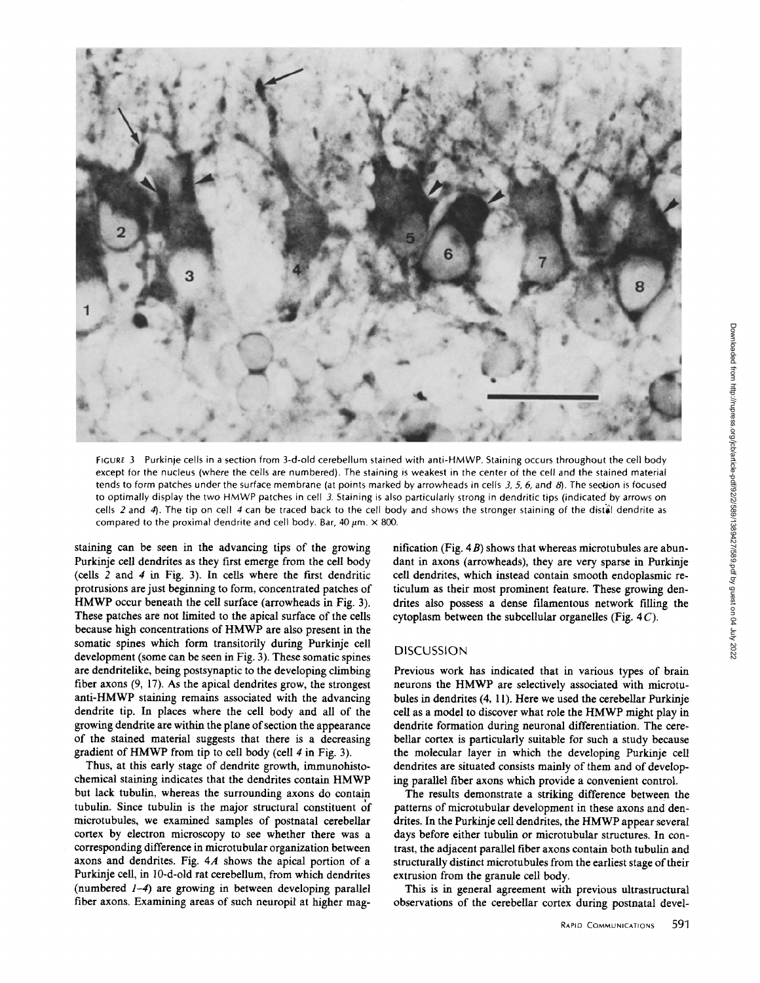

FIGURE 3 Purkinje cells in a section from 3-d-old cerebellum stained with anti-HMWP. Staining occurs throughout the cell body<br>except for the nucleus (where the cells are numbered). The staining is weakest in the center of tends to form patches under the surface membrane (at points marked by arrowheads in cells  $3, 5, 6$ , and  $8$ ). The section is focused to optimally display the two HMWP patches in cell 3. Staining is also particularly strong in dendritic tips (indicated by arrows on cells 2 and 4). The tip on cell 4 can be traced back to the cell body and shows the stronger staining of the distal dendrite as compared to the proximal dendrite and cell body. Bar  $40 \mu m \times 800$ compared to the proximal dendrite and cell body. Bar, 40 pm. x 800.

staining can be seen in the advancing tips of the growing<br>Purkinje cell dendrites as they first emerge from the cell body (cells  $2$  and  $4$  in Fig. 3). In cells where the first dendritic protrusions are just beginning to form, concentrated patches of HMWP occur beneath the cell surface (arrowheads in Fig. 3). These patches are not limited to the apical surface of the cells because high concentrations of HMWP are also present in the somatic spines which form transitorily during Purkinje cell development (some can be seen in Fig. 3). These somatic spines are dendritelike, being postsynaptic to the developing climbing fiber axons  $(9, 17)$ . As the apical dendrites grow, the strongest anti-HMWP staining remains associated with the advancing dendrite tip. In places where the cell body and all of the growing dendrite are within the plane of section the appearance of the stained material suggests that there is a decreasing gradient of HMWP from tip to cell body (cell  $4$  in Fig. 3).

Thus, at this early stage of dendrite growth, immunohistochemical staining indicates that the dendrites contain HMWP but lack tubulin, whereas the surrounding axons do contain tubulin. Since tubulin is the major structural constituent of microtubules, we examined samples of postnatal cerebellar cortex by electron microscopy to see whether there was a corresponding difference in microtubular organization between axons and dendrites. Fig.  $4A$  shows the apical portion of a Purkinje cell, in 10-d-old rat cerebellum, from which dendrites (numbered  $1-4$ ) are growing in between developing parallel (number 1-4) are growing in between developing parallel fiber axons. Examining areas of such neuropil at higher magnification (Fig.  $4B$ ) shows that whereas microtubules are abundant in axons (arrowheads), they are very sparse in Purkinje cell dendrites, which instead contain smooth endoplasmic reticulum as their most prominent feature. These growing dendrites also possess a dense filamentous network filling the  $\alpha$  drives also possess a dense filamentous network filling the  $c_1$  coplasm between the subcellular organelles (Fig.  $\epsilon$ C).

DISCUSSION<br>Previous work has indicated that in various types of brain neurons the HMWP are selectively associated with microtubules in dendrites (4, 11). Here we used the cerebellar Purkinje cell as a model to discover what role the HMWP might play in dendrite formation during neuronal differentiation. The cerebellar cortex is particularly suitable for such a study because the molecular layer in which the developing Purkinje cell dendrites are situated consists mainly of them and of developing parallel fiber axons which provide a convenient control.

The results demonstrate a striking difference between the patterns of microtubular development in these axons and dendrites. In the Purkinje cell dendrites, the HMWP appear several days before either tubulin or microtubular structures. In contrast, the adjacent parallel fiber axons contain both tubulin and structurally distinct microtubules from the earliest stage of their extrusion from the granule cell body.

This is in general agreement with previous ultrastructural This is in general agreement with previous untustructural observations of the cerebellar cortex during postnatal devel-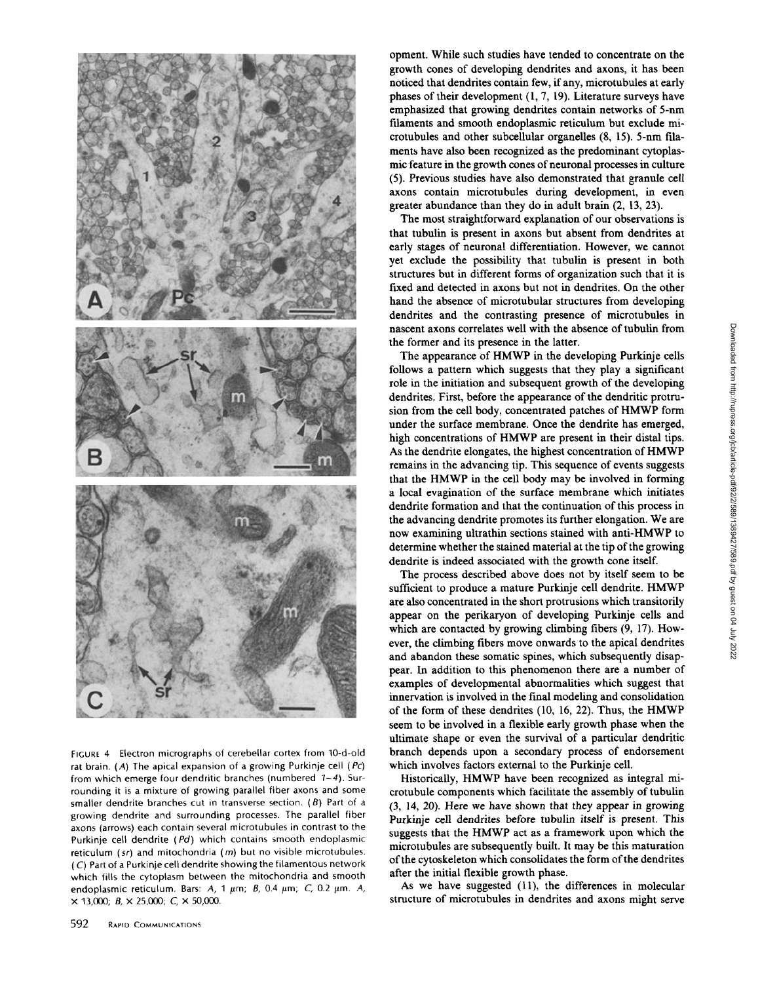

FIGURE 4 Electron micrographs of cerebellar cortex from 10-d-old<br>rat brain. (A) The apical expansion of a growing Purkinje cell (Pc) rat brain. (A) The apical expansion of a growing Purkinje cell (PC)<br>Concelling certains four deadlife beenshee (purphered 3, 4). Sur from which emerge four dendritic branches (numbered 1-4) Surrounding it is a mixture of growing parallel fiber axons and some smaller dendrite branches cut in transverse section.  $(B)$  Part of a growing dendrite and surrounding processes. The parallel fiber axons (arrows) each contain several microtubules in contrast to the Purkinje cell dendrite (Pd) which contains smooth endoplasmic reticulum ( $sr$ ) and mitochondria ( $m$ ) but no visible microtubules.  $f(C)$  Part of a Purkinje cell dendrite showing the filamentous network (C) Part of a Purkinje cell dendrite showing the filamentous network which fills the cytoplasm between the initiation and smooth endoplasmic reticulum. Bars: A, 1  $\mu$ m; B, 0.4  $\mu$ m; C, 0.2  $\mu$ m. A,  $\times$  13,000; B,  $\times$  25,000; C,  $\times$  50,000.

opment. While such studies have tended to concentrate on the growth cones of developing dendrites and axons, it has been noticed that dendrites contain few, if any, microtubules at early noticed that dendrites contain few, if any, microtubules at early phases of their development (1, 7, 19) . Literature surveys have emphasized that growing dendrites contain networks of 5-nm filaments and smooth endoplasmic reticulum but exclude microtubules and other subcellular organelles (8, 15) . 5-nm filaments have also been recognized as the predominant cytoplas-<br>mic feature in the growth cones of neuronal processes in culture mic require in the growth cones of neuronal processes in culture  $(5)$ . Previous studies have also demonstrated that granule cen axons contain microtubules during development, in even greater abundance than they do in adult brain (2, 13, 23) .

The most straightforward explanation of our observations is that tubulin is present in axons but absent from dendrites at early stages of neuronal differentiation. However, we cannot yet exclude the possibility that tubulin is present in both structures but in different forms of organization such that it is fixed and detected in axons but not in dendrites. On the other hand the absence of microtubular structures from developing hand the absence of microtubular structures from developing dendrites and the contrasting presence of microtubules in nascent axons correlates well with the absence of tubulin from the former and its presence in the latter.

The appearance of HMWP in the developing Purkinje cells follows a pattern which suggests that they play a significant role in the initiation and subsequent growth of the developing role in the initiation and subsequent growth of the developing dendrites. First, before the appearance of the dendritic protrusion from the cell body, concentrated patches of HMWP form under the surface membrane. Once the dendrite has emerged, high concentrations of HMWP are present in their distal tips. As the dendrite elongates, the highest concentration of HMWP remains in the advancing tip. This sequence of events suggests that the HMWP in the cell body may be involved in forming<br>a local evagination of the surface membrane which initiates a local evagination of the surface membrane which initiates dendrite formation and that the continuation of this process in dendrite formation and that the continuation of this process in the advancing dendrite promotes its further elongation. We are<br>now examining ultrathin sections stained with anti-HMWP to now examining ultrathin sections stained with anti-HMWP to determine whether the stained material at the tip of the growing<br>dendrite is indeed associated with the growth cone itself.

The process described above does not by itself seem to be The process described above does not by itself seem to be<br>Contact to another a mature Durkinia sell dendrity. UMWD sufficient to produce a mature Purkinje cell dendrite. HMWP<br>are also concentrated in the short protrusions which transitorily are also concentrated in the short protrusions which transitorily appear on the perikaryon of developing Purkinje cens and<br>reliable as centerted by against alimbing fibers (0, 17). Howe which are contacted by growing climbing fibers  $(9, 17)$ . How-<br>ever, the climbing fibers move onwards to the apical dendrites and abandon these somatic spines, which subsequently disapand abandon these somatic spines, which subsequently disappear . In addition to this phenomenon there are a number of examples of developmental abnormalities which suggest that innervation is involved in the final modeling and consolidation of the form of these dendrites (10, 16, 22) . Thus, the HMWP seem to be involved in a flexible early growth phase when the ultimate shape or even the survival of a particular dendritic branch depends upon a secondary process of endorsement which involves factors external to the Purkinje cell.

Historically, HMWP have been recognized as integral microtubule components which facilitate the assembly of tubulin (3, 14, 20) . Here we have shown that they appear in growing suggests that the HMWP act as a framework upon which the<br>microtubules are subsequently built. It may be this maturation microtubules are subsequently built . It may be this maturation of the cytoskeleton which consolidates the form of the dendrites after the initial flexible growth phase.

As we have suggested (11), the differences in molecular structure of microtubules in dendrites and axons might serve